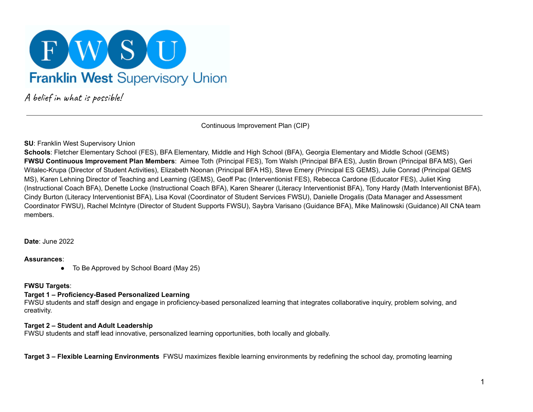

A belief in what is possible!

Continuous Improvement Plan (CIP)

### **SU**: Franklin West Supervisory Union

**Schools**: Fletcher Elementary School (FES), BFA Elementary, Middle and High School (BFA), Georgia Elementary and Middle School (GEMS) **FWSU Continuous Improvement Plan Members**: Aimee Toth (Principal FES), Tom Walsh (Principal BFA ES), Justin Brown (Principal BFA MS), Geri Witalec-Krupa (Director of Student Activities), Elizabeth Noonan (Principal BFA HS), Steve Emery (Principal ES GEMS), Julie Conrad (Principal GEMS MS), Karen Lehning Director of Teaching and Learning (GEMS), Geoff Pac (Interventionist FES), Rebecca Cardone (Educator FES), Juliet King (Instructional Coach BFA), Denette Locke (Instructional Coach BFA), Karen Shearer (Literacy Interventionist BFA), Tony Hardy (Math Interventionist BFA), Cindy Burton (Literacy Interventionist BFA), Lisa Koval (Coordinator of Student Services FWSU), Danielle Drogalis (Data Manager and Assessment Coordinator FWSU), Rachel McIntyre (Director of Student Supports FWSU), Saybra Varisano (Guidance BFA), Mike Malinowski (Guidance) All CNA team members.

**Date**: June 2022

### **Assurances**:

● To Be Approved by School Board (May 25)

## **FWSU Targets**:

## **Target 1 – Proficiency-Based Personalized Learning**

FWSU students and staff design and engage in proficiency-based personalized learning that integrates collaborative inquiry, problem solving, and creativity.

### **Target 2 – Student and Adult Leadership**

FWSU students and staff lead innovative, personalized learning opportunities, both locally and globally.

**Target 3 – Flexible Learning Environments** FWSU maximizes flexible learning environments by redefining the school day, promoting learning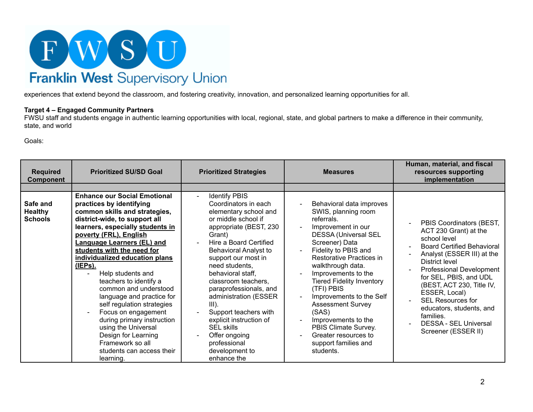

experiences that extend beyond the classroom, and fostering creativity, innovation, and personalized learning opportunities for all.

### **Target 4 – Engaged Community Partners**

FWSU staff and students engage in authentic learning opportunities with local, regional, state, and global partners to make a difference in their community, state, and world

Goals:

| <b>Required</b><br>Component                 | <b>Prioritized SU/SD Goal</b>                                                                                                                                                                                                                                                                                                                                                                                                                                                                                                                                                                                                       | <b>Prioritized Strategies</b>                                                                                                                                                                                                                                                                                                                                                                                                                                                             | <b>Measures</b>                                                                                                                                                                                                                                                                                                                                                                                                                                                     | Human, material, and fiscal<br>resources supporting<br>implementation                                                                                                                                                                                                                                                                                                                  |
|----------------------------------------------|-------------------------------------------------------------------------------------------------------------------------------------------------------------------------------------------------------------------------------------------------------------------------------------------------------------------------------------------------------------------------------------------------------------------------------------------------------------------------------------------------------------------------------------------------------------------------------------------------------------------------------------|-------------------------------------------------------------------------------------------------------------------------------------------------------------------------------------------------------------------------------------------------------------------------------------------------------------------------------------------------------------------------------------------------------------------------------------------------------------------------------------------|---------------------------------------------------------------------------------------------------------------------------------------------------------------------------------------------------------------------------------------------------------------------------------------------------------------------------------------------------------------------------------------------------------------------------------------------------------------------|----------------------------------------------------------------------------------------------------------------------------------------------------------------------------------------------------------------------------------------------------------------------------------------------------------------------------------------------------------------------------------------|
|                                              |                                                                                                                                                                                                                                                                                                                                                                                                                                                                                                                                                                                                                                     |                                                                                                                                                                                                                                                                                                                                                                                                                                                                                           |                                                                                                                                                                                                                                                                                                                                                                                                                                                                     |                                                                                                                                                                                                                                                                                                                                                                                        |
| Safe and<br><b>Healthy</b><br><b>Schools</b> | <b>Enhance our Social Emotional</b><br>practices by identifying<br>common skills and strategies,<br>district-wide, to support all<br>learners, especially students in<br>poverty (FRL), English<br>Language Learners (EL) and<br>students with the need for<br>individualized education plans<br>(IEPs).<br>Help students and<br>L<br>teachers to identify a<br>common and understood<br>language and practice for<br>self regulation strategies<br>Focus on engagement<br>$\blacksquare$<br>during primary instruction<br>using the Universal<br>Design for Learning<br>Framework so all<br>students can access their<br>learning. | <b>Identify PBIS</b><br>Coordinators in each<br>elementary school and<br>or middle school if<br>appropriate (BEST, 230<br>Grant)<br>Hire a Board Certified<br><b>Behavioral Analyst to</b><br>support our most in<br>need students,<br>behavioral staff,<br>classroom teachers,<br>paraprofessionals, and<br>administration (ESSER<br>$III$ ).<br>Support teachers with<br>explicit instruction of<br><b>SEL skills</b><br>Offer ongoing<br>professional<br>development to<br>enhance the | Behavioral data improves<br>SWIS, planning room<br>referrals.<br>Improvement in our<br><b>DESSA (Universal SEL</b><br>Screener) Data<br>Fidelity to PBIS and<br>Restorative Practices in<br>walkthrough data.<br>Improvements to the<br><b>Tiered Fidelity Inventory</b><br>(TFI) PBIS<br>Improvements to the Self<br><b>Assessment Survey</b><br>(SAS)<br>Improvements to the<br>PBIS Climate Survey.<br>Greater resources to<br>support families and<br>students. | PBIS Coordinators (BEST,<br>ACT 230 Grant) at the<br>school level<br><b>Board Certified Behavioral</b><br>Analyst (ESSER III) at the<br><b>District level</b><br>Professional Development<br>for SEL, PBIS, and UDL<br>(BEST, ACT 230, Title IV,<br>ESSER, Local)<br>SEL Resources for<br>educators, students, and<br>families.<br><b>DESSA - SEL Universal</b><br>Screener (ESSER II) |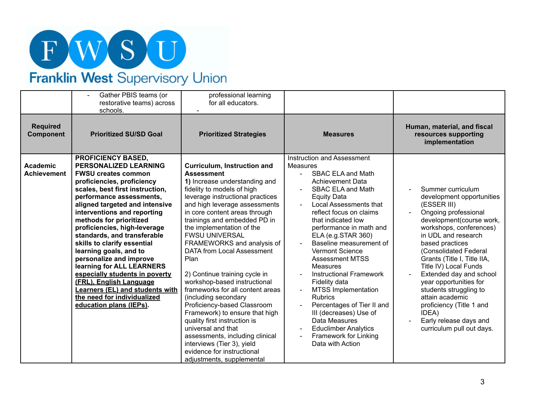

# Franklin West Supervisory Union

| Gather PBIS teams (or<br>restorative teams) across<br>schools.                                                                                                                                                                                                                                                                                                                                                                                                                                                                                                                                                                                                             | professional learning<br>for all educators.                                                                                                                                                                                                                                                                                                                                                                                                                                                                                                                                                                                                                                                                                                                            |                                                                                                                                                                                                                                                                                                                                                                                                                                                                                                                                                                                                                                                                |                                                                                                                                                                                                                                                                                                                                                                                                                                                                       |
|----------------------------------------------------------------------------------------------------------------------------------------------------------------------------------------------------------------------------------------------------------------------------------------------------------------------------------------------------------------------------------------------------------------------------------------------------------------------------------------------------------------------------------------------------------------------------------------------------------------------------------------------------------------------------|------------------------------------------------------------------------------------------------------------------------------------------------------------------------------------------------------------------------------------------------------------------------------------------------------------------------------------------------------------------------------------------------------------------------------------------------------------------------------------------------------------------------------------------------------------------------------------------------------------------------------------------------------------------------------------------------------------------------------------------------------------------------|----------------------------------------------------------------------------------------------------------------------------------------------------------------------------------------------------------------------------------------------------------------------------------------------------------------------------------------------------------------------------------------------------------------------------------------------------------------------------------------------------------------------------------------------------------------------------------------------------------------------------------------------------------------|-----------------------------------------------------------------------------------------------------------------------------------------------------------------------------------------------------------------------------------------------------------------------------------------------------------------------------------------------------------------------------------------------------------------------------------------------------------------------|
| <b>Required</b><br><b>Prioritized SU/SD Goal</b><br>Component                                                                                                                                                                                                                                                                                                                                                                                                                                                                                                                                                                                                              | <b>Prioritized Strategies</b>                                                                                                                                                                                                                                                                                                                                                                                                                                                                                                                                                                                                                                                                                                                                          | <b>Measures</b>                                                                                                                                                                                                                                                                                                                                                                                                                                                                                                                                                                                                                                                | Human, material, and fiscal<br>resources supporting<br>implementation                                                                                                                                                                                                                                                                                                                                                                                                 |
| <b>PROFICIENCY BASED,</b><br><b>PERSONALIZED LEARNING</b><br><b>Academic</b><br><b>FWSU creates common</b><br><b>Achievement</b><br>proficiencies, proficiency<br>scales, best first instruction,<br>performance assessments,<br>aligned targeted and intensive<br>interventions and reporting<br>methods for prioritized<br>proficiencies, high-leverage<br>standards, and transferable<br>skills to clarify essential<br>learning goals, and to<br>personalize and improve<br>learning for ALL LEARNERS<br>especially students in poverty<br>(FRL), English Language<br><b>Learners (EL) and students with</b><br>the need for individualized<br>education plans (IEPs). | <b>Curriculum, Instruction and</b><br><b>Assessment</b><br>1) Increase understanding and<br>fidelity to models of high<br>leverage instructional practices<br>and high leverage assessments<br>in core content areas through<br>trainings and embedded PD in<br>the implementation of the<br><b>FWSU UNIVERSAL</b><br>FRAMEWORKS and analysis of<br>DATA from Local Assessment<br>Plan<br>2) Continue training cycle in<br>workshop-based instructional<br>frameworks for all content areas<br>(including secondary<br>Proficiency-based Classroom<br>Framework) to ensure that high<br>quality first instruction is<br>universal and that<br>assessments, including clinical<br>interviews (Tier 3), yield<br>evidence for instructional<br>adjustments, supplemental | Instruction and Assessment<br>Measures<br><b>SBAC ELA and Math</b><br>$\overline{a}$<br><b>Achievement Data</b><br><b>SBAC ELA and Math</b><br><b>Equity Data</b><br><b>Local Assessments that</b><br>reflect focus on claims<br>that indicated low<br>performance in math and<br>ELA (e.g.STAR 360)<br>Baseline measurement of<br><b>Vermont Science</b><br><b>Assessment MTSS</b><br><b>Measures</b><br><b>Instructional Framework</b><br>Fidelity data<br><b>MTSS Implementation</b><br><b>Rubrics</b><br>Percentages of Tier II and<br>III (decreases) Use of<br>Data Measures<br><b>Educlimber Analytics</b><br>Framework for Linking<br>Data with Action | Summer curriculum<br>development opportunities<br>(ESSER III)<br>Ongoing professional<br>development(course work,<br>workshops, conferences)<br>in UDL and research<br>based practices<br>(Consolidated Federal<br>Grants (Title I, Title IIA,<br>Title IV) Local Funds<br>Extended day and school<br>year opportunities for<br>students struggling to<br>attain academic<br>proficiency (Title 1 and<br>IDEA)<br>Early release days and<br>curriculum pull out days. |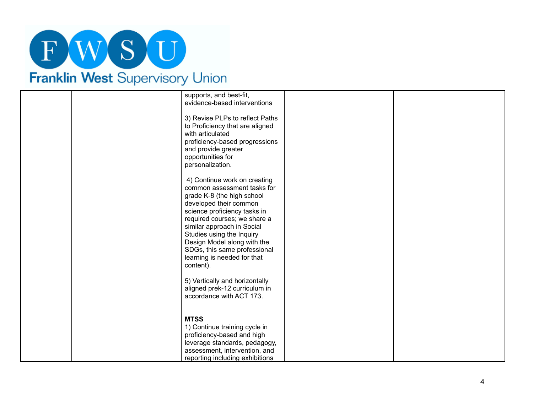# FWSU Franklin West Supervisory Union

|  | supports, and best-fit,<br>evidence-based interventions                                                                                                                                                                                                                                                                                                   |  |
|--|-----------------------------------------------------------------------------------------------------------------------------------------------------------------------------------------------------------------------------------------------------------------------------------------------------------------------------------------------------------|--|
|  | 3) Revise PLPs to reflect Paths<br>to Proficiency that are aligned<br>with articulated<br>proficiency-based progressions<br>and provide greater<br>opportunities for<br>personalization.                                                                                                                                                                  |  |
|  | 4) Continue work on creating<br>common assessment tasks for<br>grade K-8 (the high school<br>developed their common<br>science proficiency tasks in<br>required courses; we share a<br>similar approach in Social<br>Studies using the Inquiry<br>Design Model along with the<br>SDGs, this same professional<br>learning is needed for that<br>content). |  |
|  | 5) Vertically and horizontally<br>aligned prek-12 curriculum in<br>accordance with ACT 173.                                                                                                                                                                                                                                                               |  |
|  | <b>MTSS</b><br>1) Continue training cycle in<br>proficiency-based and high<br>leverage standards, pedagogy,<br>assessment, intervention, and<br>reporting including exhibitions                                                                                                                                                                           |  |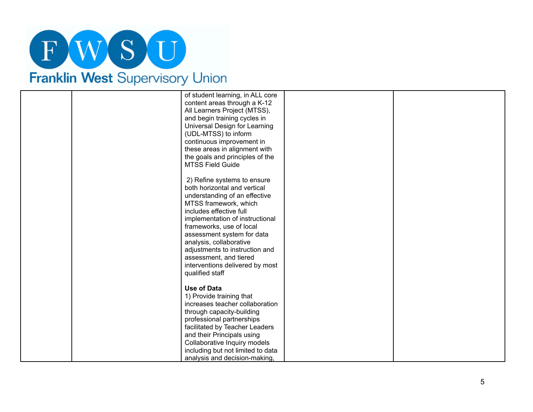

|  | of student learning, in ALL core<br>content areas through a K-12<br>All Learners Project (MTSS),<br>and begin training cycles in<br>Universal Design for Learning<br>(UDL-MTSS) to inform<br>continuous improvement in<br>these areas in alignment with<br>the goals and principles of the<br><b>MTSS Field Guide</b>                                                                      |  |
|--|--------------------------------------------------------------------------------------------------------------------------------------------------------------------------------------------------------------------------------------------------------------------------------------------------------------------------------------------------------------------------------------------|--|
|  | 2) Refine systems to ensure<br>both horizontal and vertical<br>understanding of an effective<br>MTSS framework, which<br>includes effective full<br>implementation of instructional<br>frameworks, use of local<br>assessment system for data<br>analysis, collaborative<br>adjustments to instruction and<br>assessment, and tiered<br>interventions delivered by most<br>qualified staff |  |
|  | <b>Use of Data</b><br>1) Provide training that<br>increases teacher collaboration<br>through capacity-building<br>professional partnerships<br>facilitated by Teacher Leaders<br>and their Principals using<br>Collaborative Inquiry models<br>including but not limited to data<br>analysis and decision-making,                                                                          |  |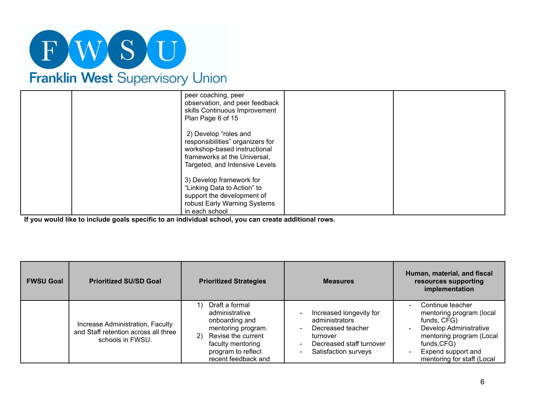

| <b>THAIRMIT VYCSL</b> OUDCLYBOLY OTHOLD |                                                                                                                           |  |
|-----------------------------------------|---------------------------------------------------------------------------------------------------------------------------|--|
|                                         | peer coaching, peer<br>observation, and peer feedback<br>skills Continuous Improvement<br>Plan Page 6 of 15               |  |
|                                         | 2) Develop "roles and<br>responsibilities" organizers for<br>workshop-based instructional<br>frameworks at the Universal, |  |

| Franklin West Supervisory Union |
|---------------------------------|
|---------------------------------|

|  | 2) Develop "roles and<br>responsibilities" organizers for<br>workshop-based instructional<br>frameworks at the Universal,<br>Targeted, and Intensive Levels |  |
|--|-------------------------------------------------------------------------------------------------------------------------------------------------------------|--|
|  | 3) Develop framework for<br>"Linking Data to Action" to<br>support the development of<br>robust Early Warning Systems<br>in each school                     |  |

**If you would like to include goals specific to an individual school, you can create additional rows.**

| <b>FWSU Goal</b> | <b>Prioritized SU/SD Goal</b>                                                                | <b>Prioritized Strategies</b>                                                                                                                                          | <b>Measures</b>                                                                                                                                     | Human, material, and fiscal<br>resources supporting<br>implementation                                                                                                                |
|------------------|----------------------------------------------------------------------------------------------|------------------------------------------------------------------------------------------------------------------------------------------------------------------------|-----------------------------------------------------------------------------------------------------------------------------------------------------|--------------------------------------------------------------------------------------------------------------------------------------------------------------------------------------|
|                  | Increase Administration, Faculty<br>and Staff retention across all three<br>schools in FWSU. | Draft a formal<br>administrative<br>onboarding and<br>mentoring program.<br>Revise the current<br>2)<br>faculty mentoring<br>program to reflect<br>recent feedback and | Increased longevity for<br>administrators<br>Decreased teacher<br>turnover<br>Decreased staff turnover<br>$\qquad \qquad -$<br>Satisfaction surveys | Continue teacher<br>mentoring program (local<br>funds, CFG)<br>Develop Administrative<br>mentoring program (Local<br>funds, CFG)<br>Expend support and<br>mentoring for staff (Local |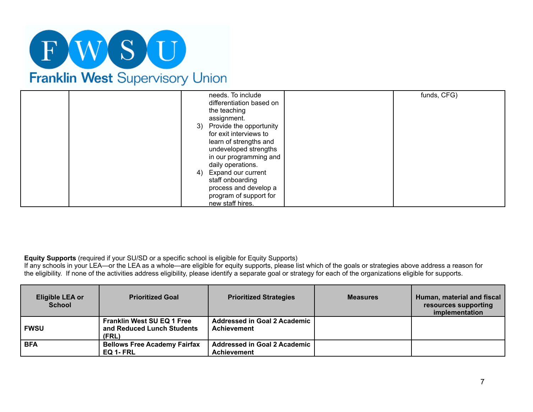

| needs. To include<br>differentiation based on<br>the teaching<br>assignment.<br>3) Provide the opportunity<br>for exit interviews to<br>learn of strengths and<br>undeveloped strengths<br>in our programming and | funds, CFG) |
|-------------------------------------------------------------------------------------------------------------------------------------------------------------------------------------------------------------------|-------------|
| daily operations.<br><b>Expand our current</b><br>4)<br>staff onboarding<br>process and develop a<br>program of support for<br>new staff hires.                                                                   |             |

**Equity Supports** (required if your SU/SD or a specific school is eligible for Equity Supports)

If any schools in your LEA—or the LEA as a whole—are eligible for equity supports, please list which of the goals or strategies above address a reason for the eligibility. If none of the activities address eligibility, please identify a separate goal or strategy for each of the organizations eligible for supports.

| <b>Eligible LEA or</b><br><b>School</b> | <b>Prioritized Goal</b>                                                  | <b>Prioritized Strategies</b>                             | <b>Measures</b> | Human, material and fiscal<br>resources supporting<br>implementation |
|-----------------------------------------|--------------------------------------------------------------------------|-----------------------------------------------------------|-----------------|----------------------------------------------------------------------|
| <b>FWSU</b>                             | <b>Franklin West SU EQ 1 Free</b><br>and Reduced Lunch Students<br>(FRL) | Addressed in Goal 2 Academic<br><b>Achievement</b>        |                 |                                                                      |
| <b>BFA</b>                              | <b>Bellows Free Academy Fairfax</b><br>EQ 1- FRL                         | <b>Addressed in Goal 2 Academic</b><br><b>Achievement</b> |                 |                                                                      |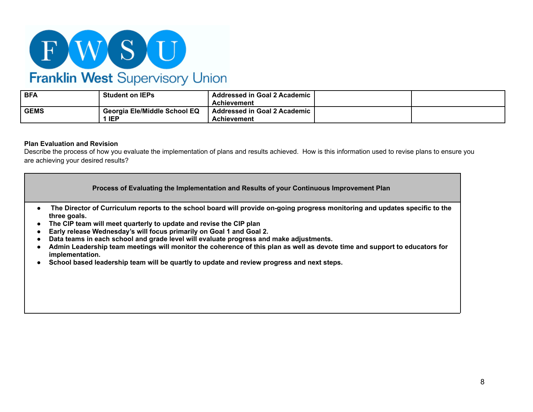

# Franklin West Supervisory Union

| <b>BFA</b>  | <b>Student on IEPs</b>                     | <b>Addressed in Goal 2 Academic</b><br><b>Achievement</b> |  |
|-------------|--------------------------------------------|-----------------------------------------------------------|--|
| <b>GEMS</b> | Georgia Ele/Middle School EQ<br><b>IEP</b> | <b>Addressed in Goal 2 Academic</b><br><b>Achievement</b> |  |

## **Plan Evaluation and Revision**

Describe the process of how you evaluate the implementation of plans and results achieved. How is this information used to revise plans to ensure you are achieving your desired results?

|                                                                                                               | Process of Evaluating the Implementation and Results of your Continuous Improvement Plan                                                                                                                                                                                                                                                                                                                                                                                                                                                                                                         |
|---------------------------------------------------------------------------------------------------------------|--------------------------------------------------------------------------------------------------------------------------------------------------------------------------------------------------------------------------------------------------------------------------------------------------------------------------------------------------------------------------------------------------------------------------------------------------------------------------------------------------------------------------------------------------------------------------------------------------|
| $\bullet$<br>three goals.<br>$\bullet$<br>$\bullet$<br>$\bullet$<br>$\bullet$<br>implementation.<br>$\bullet$ | The Director of Curriculum reports to the school board will provide on-going progress monitoring and updates specific to the<br>The CIP team will meet quarterly to update and revise the CIP plan<br>Early release Wednesday's will focus primarily on Goal 1 and Goal 2.<br>Data teams in each school and grade level will evaluate progress and make adjustments.<br>Admin Leadership team meetings will monitor the coherence of this plan as well as devote time and support to educators for<br>School based leadership team will be quartly to update and review progress and next steps. |